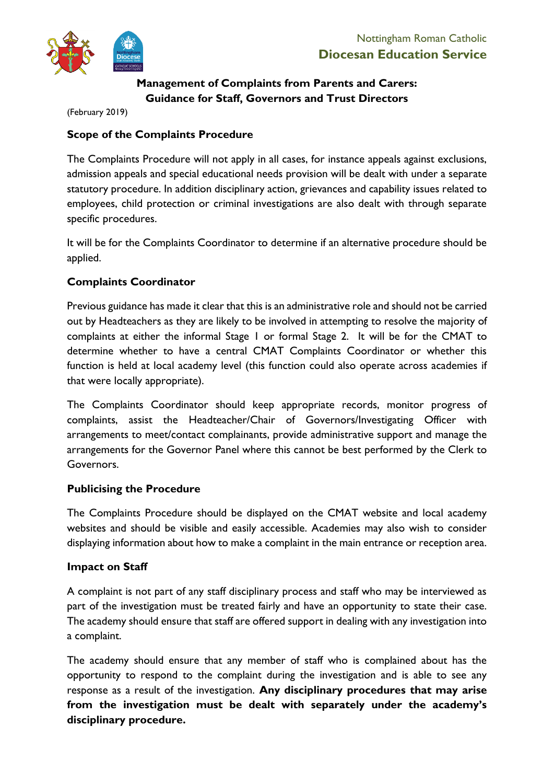

# **Management of Complaints from Parents and Carers: Guidance for Staff, Governors and Trust Directors**

(February 2019)

# **Scope of the Complaints Procedure**

The Complaints Procedure will not apply in all cases, for instance appeals against exclusions, admission appeals and special educational needs provision will be dealt with under a separate statutory procedure. In addition disciplinary action, grievances and capability issues related to employees, child protection or criminal investigations are also dealt with through separate specific procedures.

It will be for the Complaints Coordinator to determine if an alternative procedure should be applied.

# **Complaints Coordinator**

Previous guidance has made it clear that this is an administrative role and should not be carried out by Headteachers as they are likely to be involved in attempting to resolve the majority of complaints at either the informal Stage 1 or formal Stage 2. It will be for the CMAT to determine whether to have a central CMAT Complaints Coordinator or whether this function is held at local academy level (this function could also operate across academies if that were locally appropriate).

The Complaints Coordinator should keep appropriate records, monitor progress of complaints, assist the Headteacher/Chair of Governors/Investigating Officer with arrangements to meet/contact complainants, provide administrative support and manage the arrangements for the Governor Panel where this cannot be best performed by the Clerk to Governors.

# **Publicising the Procedure**

The Complaints Procedure should be displayed on the CMAT website and local academy websites and should be visible and easily accessible. Academies may also wish to consider displaying information about how to make a complaint in the main entrance or reception area.

### **Impact on Staff**

A complaint is not part of any staff disciplinary process and staff who may be interviewed as part of the investigation must be treated fairly and have an opportunity to state their case. The academy should ensure that staff are offered support in dealing with any investigation into a complaint.

The academy should ensure that any member of staff who is complained about has the opportunity to respond to the complaint during the investigation and is able to see any response as a result of the investigation. **Any disciplinary procedures that may arise from the investigation must be dealt with separately under the academy's disciplinary procedure.**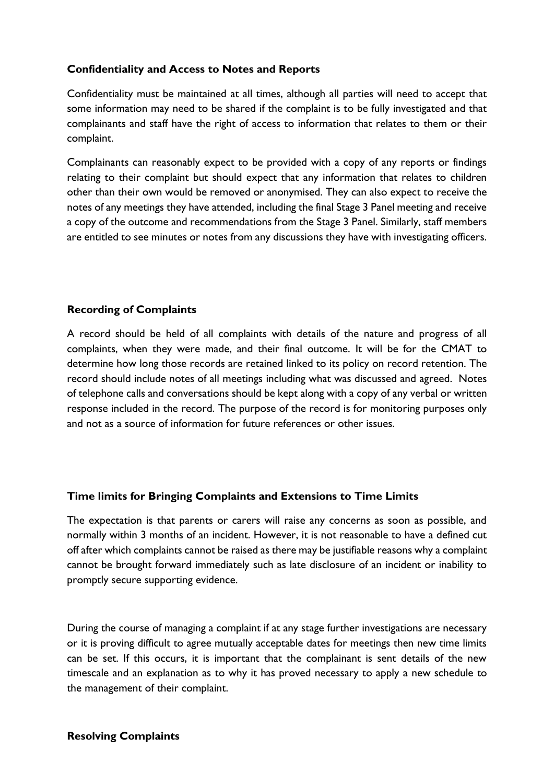## **Confidentiality and Access to Notes and Reports**

Confidentiality must be maintained at all times, although all parties will need to accept that some information may need to be shared if the complaint is to be fully investigated and that complainants and staff have the right of access to information that relates to them or their complaint.

Complainants can reasonably expect to be provided with a copy of any reports or findings relating to their complaint but should expect that any information that relates to children other than their own would be removed or anonymised. They can also expect to receive the notes of any meetings they have attended, including the final Stage 3 Panel meeting and receive a copy of the outcome and recommendations from the Stage 3 Panel. Similarly, staff members are entitled to see minutes or notes from any discussions they have with investigating officers.

## **Recording of Complaints**

A record should be held of all complaints with details of the nature and progress of all complaints, when they were made, and their final outcome. It will be for the CMAT to determine how long those records are retained linked to its policy on record retention. The record should include notes of all meetings including what was discussed and agreed. Notes of telephone calls and conversations should be kept along with a copy of any verbal or written response included in the record. The purpose of the record is for monitoring purposes only and not as a source of information for future references or other issues.

### **Time limits for Bringing Complaints and Extensions to Time Limits**

The expectation is that parents or carers will raise any concerns as soon as possible, and normally within 3 months of an incident. However, it is not reasonable to have a defined cut off after which complaints cannot be raised as there may be justifiable reasons why a complaint cannot be brought forward immediately such as late disclosure of an incident or inability to promptly secure supporting evidence.

During the course of managing a complaint if at any stage further investigations are necessary or it is proving difficult to agree mutually acceptable dates for meetings then new time limits can be set. If this occurs, it is important that the complainant is sent details of the new timescale and an explanation as to why it has proved necessary to apply a new schedule to the management of their complaint.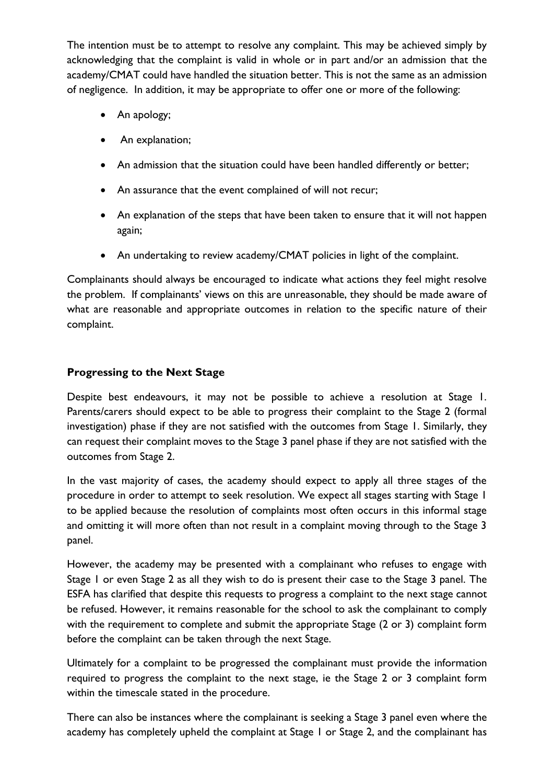The intention must be to attempt to resolve any complaint. This may be achieved simply by acknowledging that the complaint is valid in whole or in part and/or an admission that the academy/CMAT could have handled the situation better. This is not the same as an admission of negligence. In addition, it may be appropriate to offer one or more of the following:

- An apology;
- An explanation;
- An admission that the situation could have been handled differently or better;
- An assurance that the event complained of will not recur;
- An explanation of the steps that have been taken to ensure that it will not happen again;
- An undertaking to review academy/CMAT policies in light of the complaint.

Complainants should always be encouraged to indicate what actions they feel might resolve the problem. If complainants' views on this are unreasonable, they should be made aware of what are reasonable and appropriate outcomes in relation to the specific nature of their complaint.

## **Progressing to the Next Stage**

Despite best endeavours, it may not be possible to achieve a resolution at Stage 1. Parents/carers should expect to be able to progress their complaint to the Stage 2 (formal investigation) phase if they are not satisfied with the outcomes from Stage 1. Similarly, they can request their complaint moves to the Stage 3 panel phase if they are not satisfied with the outcomes from Stage 2.

In the vast majority of cases, the academy should expect to apply all three stages of the procedure in order to attempt to seek resolution. We expect all stages starting with Stage 1 to be applied because the resolution of complaints most often occurs in this informal stage and omitting it will more often than not result in a complaint moving through to the Stage 3 panel.

However, the academy may be presented with a complainant who refuses to engage with Stage 1 or even Stage 2 as all they wish to do is present their case to the Stage 3 panel. The ESFA has clarified that despite this requests to progress a complaint to the next stage cannot be refused. However, it remains reasonable for the school to ask the complainant to comply with the requirement to complete and submit the appropriate Stage (2 or 3) complaint form before the complaint can be taken through the next Stage.

Ultimately for a complaint to be progressed the complainant must provide the information required to progress the complaint to the next stage, ie the Stage 2 or 3 complaint form within the timescale stated in the procedure.

There can also be instances where the complainant is seeking a Stage 3 panel even where the academy has completely upheld the complaint at Stage 1 or Stage 2, and the complainant has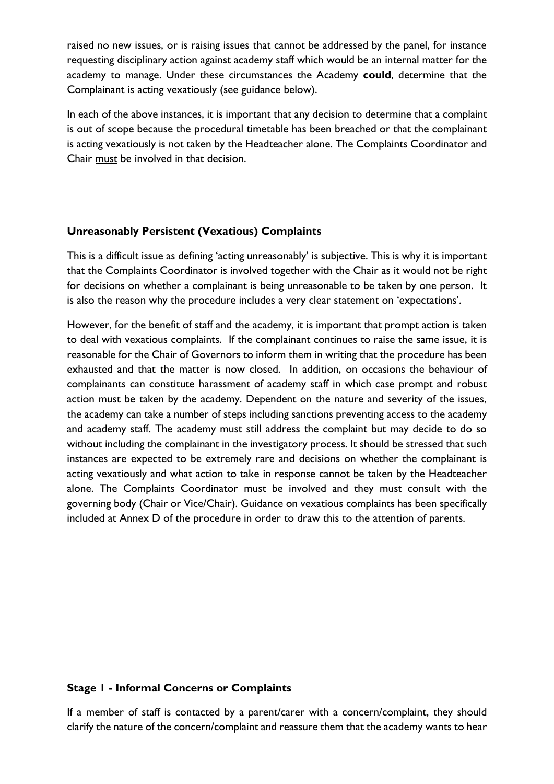raised no new issues, or is raising issues that cannot be addressed by the panel, for instance requesting disciplinary action against academy staff which would be an internal matter for the academy to manage. Under these circumstances the Academy **could**, determine that the Complainant is acting vexatiously (see guidance below).

In each of the above instances, it is important that any decision to determine that a complaint is out of scope because the procedural timetable has been breached or that the complainant is acting vexatiously is not taken by the Headteacher alone. The Complaints Coordinator and Chair must be involved in that decision.

### **Unreasonably Persistent (Vexatious) Complaints**

This is a difficult issue as defining 'acting unreasonably' is subjective. This is why it is important that the Complaints Coordinator is involved together with the Chair as it would not be right for decisions on whether a complainant is being unreasonable to be taken by one person. It is also the reason why the procedure includes a very clear statement on 'expectations'.

However, for the benefit of staff and the academy, it is important that prompt action is taken to deal with vexatious complaints. If the complainant continues to raise the same issue, it is reasonable for the Chair of Governors to inform them in writing that the procedure has been exhausted and that the matter is now closed. In addition, on occasions the behaviour of complainants can constitute harassment of academy staff in which case prompt and robust action must be taken by the academy. Dependent on the nature and severity of the issues, the academy can take a number of steps including sanctions preventing access to the academy and academy staff. The academy must still address the complaint but may decide to do so without including the complainant in the investigatory process. It should be stressed that such instances are expected to be extremely rare and decisions on whether the complainant is acting vexatiously and what action to take in response cannot be taken by the Headteacher alone. The Complaints Coordinator must be involved and they must consult with the governing body (Chair or Vice/Chair). Guidance on vexatious complaints has been specifically included at Annex D of the procedure in order to draw this to the attention of parents.

### **Stage 1 - Informal Concerns or Complaints**

If a member of staff is contacted by a parent/carer with a concern/complaint, they should clarify the nature of the concern/complaint and reassure them that the academy wants to hear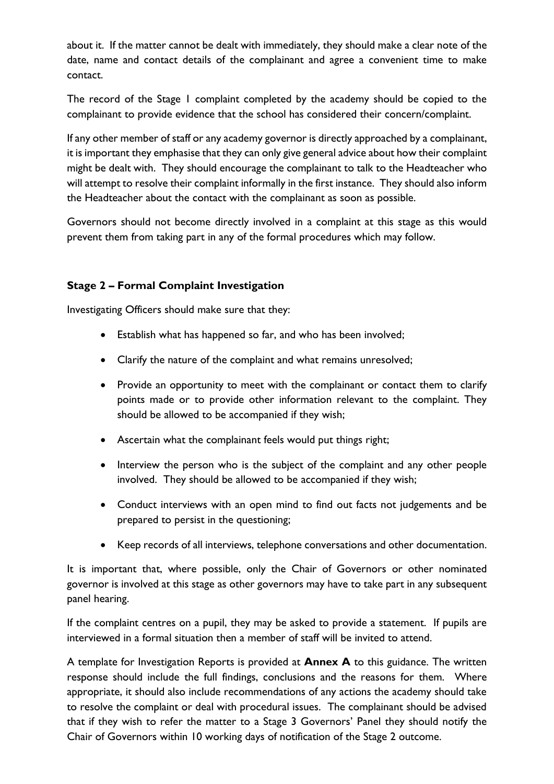about it. If the matter cannot be dealt with immediately, they should make a clear note of the date, name and contact details of the complainant and agree a convenient time to make contact.

The record of the Stage I complaint completed by the academy should be copied to the complainant to provide evidence that the school has considered their concern/complaint.

If any other member of staff or any academy governor is directly approached by a complainant, it is important they emphasise that they can only give general advice about how their complaint might be dealt with. They should encourage the complainant to talk to the Headteacher who will attempt to resolve their complaint informally in the first instance. They should also inform the Headteacher about the contact with the complainant as soon as possible.

Governors should not become directly involved in a complaint at this stage as this would prevent them from taking part in any of the formal procedures which may follow.

# **Stage 2 – Formal Complaint Investigation**

Investigating Officers should make sure that they:

- Establish what has happened so far, and who has been involved;
- Clarify the nature of the complaint and what remains unresolved;
- Provide an opportunity to meet with the complainant or contact them to clarify points made or to provide other information relevant to the complaint. They should be allowed to be accompanied if they wish;
- Ascertain what the complainant feels would put things right;
- Interview the person who is the subject of the complaint and any other people involved. They should be allowed to be accompanied if they wish;
- Conduct interviews with an open mind to find out facts not judgements and be prepared to persist in the questioning;
- Keep records of all interviews, telephone conversations and other documentation.

It is important that, where possible, only the Chair of Governors or other nominated governor is involved at this stage as other governors may have to take part in any subsequent panel hearing.

If the complaint centres on a pupil, they may be asked to provide a statement. If pupils are interviewed in a formal situation then a member of staff will be invited to attend.

A template for Investigation Reports is provided at **Annex A** to this guidance. The written response should include the full findings, conclusions and the reasons for them. Where appropriate, it should also include recommendations of any actions the academy should take to resolve the complaint or deal with procedural issues. The complainant should be advised that if they wish to refer the matter to a Stage 3 Governors' Panel they should notify the Chair of Governors within 10 working days of notification of the Stage 2 outcome.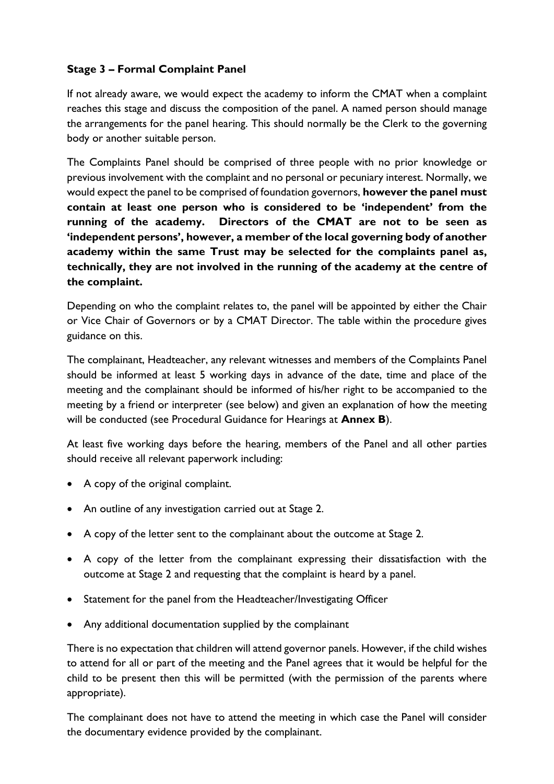# **Stage 3 – Formal Complaint Panel**

If not already aware, we would expect the academy to inform the CMAT when a complaint reaches this stage and discuss the composition of the panel. A named person should manage the arrangements for the panel hearing. This should normally be the Clerk to the governing body or another suitable person.

The Complaints Panel should be comprised of three people with no prior knowledge or previous involvement with the complaint and no personal or pecuniary interest. Normally, we would expect the panel to be comprised of foundation governors, **however the panel must contain at least one person who is considered to be 'independent' from the running of the academy. Directors of the CMAT are not to be seen as 'independent persons', however, a member of the local governing body of another academy within the same Trust may be selected for the complaints panel as, technically, they are not involved in the running of the academy at the centre of the complaint.**

Depending on who the complaint relates to, the panel will be appointed by either the Chair or Vice Chair of Governors or by a CMAT Director. The table within the procedure gives guidance on this.

The complainant, Headteacher, any relevant witnesses and members of the Complaints Panel should be informed at least 5 working days in advance of the date, time and place of the meeting and the complainant should be informed of his/her right to be accompanied to the meeting by a friend or interpreter (see below) and given an explanation of how the meeting will be conducted (see Procedural Guidance for Hearings at **Annex B**).

At least five working days before the hearing, members of the Panel and all other parties should receive all relevant paperwork including:

- A copy of the original complaint.
- An outline of any investigation carried out at Stage 2.
- A copy of the letter sent to the complainant about the outcome at Stage 2.
- A copy of the letter from the complainant expressing their dissatisfaction with the outcome at Stage 2 and requesting that the complaint is heard by a panel.
- Statement for the panel from the Headteacher/Investigating Officer
- Any additional documentation supplied by the complainant

There is no expectation that children will attend governor panels. However, if the child wishes to attend for all or part of the meeting and the Panel agrees that it would be helpful for the child to be present then this will be permitted (with the permission of the parents where appropriate).

The complainant does not have to attend the meeting in which case the Panel will consider the documentary evidence provided by the complainant.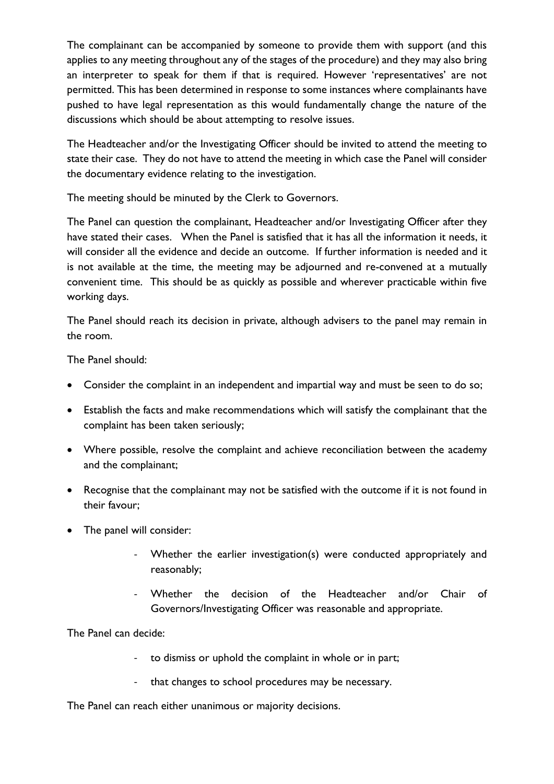The complainant can be accompanied by someone to provide them with support (and this applies to any meeting throughout any of the stages of the procedure) and they may also bring an interpreter to speak for them if that is required. However 'representatives' are not permitted. This has been determined in response to some instances where complainants have pushed to have legal representation as this would fundamentally change the nature of the discussions which should be about attempting to resolve issues.

The Headteacher and/or the Investigating Officer should be invited to attend the meeting to state their case. They do not have to attend the meeting in which case the Panel will consider the documentary evidence relating to the investigation.

The meeting should be minuted by the Clerk to Governors.

The Panel can question the complainant, Headteacher and/or Investigating Officer after they have stated their cases. When the Panel is satisfied that it has all the information it needs, it will consider all the evidence and decide an outcome. If further information is needed and it is not available at the time, the meeting may be adjourned and re-convened at a mutually convenient time. This should be as quickly as possible and wherever practicable within five working days.

The Panel should reach its decision in private, although advisers to the panel may remain in the room.

The Panel should:

- Consider the complaint in an independent and impartial way and must be seen to do so;
- Establish the facts and make recommendations which will satisfy the complainant that the complaint has been taken seriously;
- Where possible, resolve the complaint and achieve reconciliation between the academy and the complainant;
- Recognise that the complainant may not be satisfied with the outcome if it is not found in their favour;
- The panel will consider:
	- Whether the earlier investigation(s) were conducted appropriately and reasonably;
	- Whether the decision of the Headteacher and/or Chair of Governors/Investigating Officer was reasonable and appropriate.

The Panel can decide:

- to dismiss or uphold the complaint in whole or in part;
- that changes to school procedures may be necessary.

The Panel can reach either unanimous or majority decisions.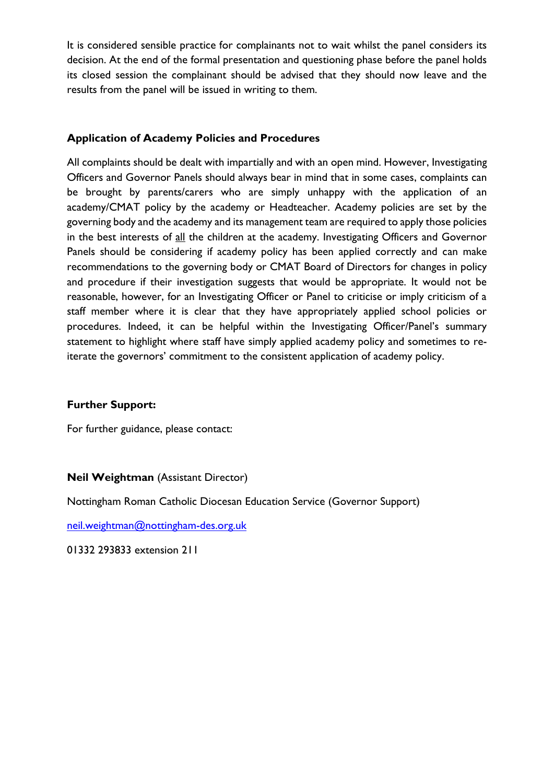It is considered sensible practice for complainants not to wait whilst the panel considers its decision. At the end of the formal presentation and questioning phase before the panel holds its closed session the complainant should be advised that they should now leave and the results from the panel will be issued in writing to them.

### **Application of Academy Policies and Procedures**

All complaints should be dealt with impartially and with an open mind. However, Investigating Officers and Governor Panels should always bear in mind that in some cases, complaints can be brought by parents/carers who are simply unhappy with the application of an academy/CMAT policy by the academy or Headteacher. Academy policies are set by the governing body and the academy and its management team are required to apply those policies in the best interests of all the children at the academy. Investigating Officers and Governor Panels should be considering if academy policy has been applied correctly and can make recommendations to the governing body or CMAT Board of Directors for changes in policy and procedure if their investigation suggests that would be appropriate. It would not be reasonable, however, for an Investigating Officer or Panel to criticise or imply criticism of a staff member where it is clear that they have appropriately applied school policies or procedures. Indeed, it can be helpful within the Investigating Officer/Panel's summary statement to highlight where staff have simply applied academy policy and sometimes to reiterate the governors' commitment to the consistent application of academy policy.

#### **Further Support:**

For further guidance, please contact:

**Neil Weightman** (Assistant Director)

Nottingham Roman Catholic Diocesan Education Service (Governor Support)

[neil.weightman@nottingham-des.org.uk](mailto:neil.weightman@nottingham-des.org.uk)

01332 293833 extension 211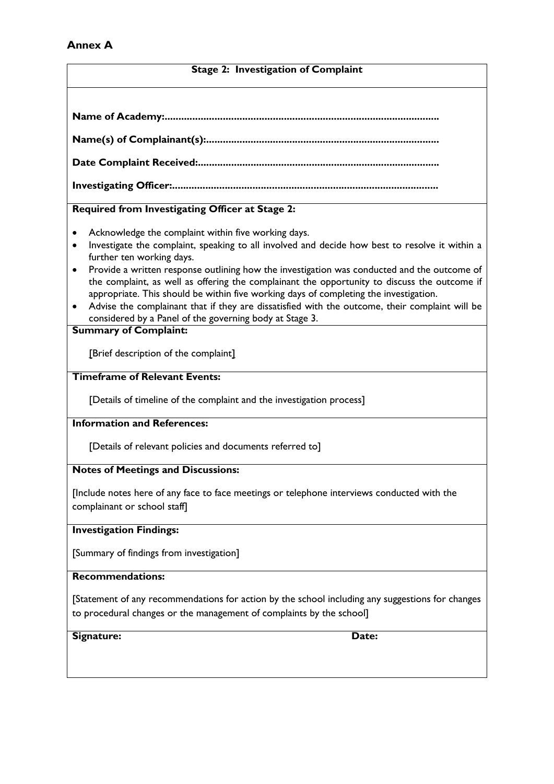### **Annex A**

#### **Stage 2: Investigation of Complaint**

|--|

**Name(s) of Complainant(s):....................................................................................**

**Date Complaint Received:.......................................................................................**

**Investigating Officer:................................................................................................**

### **Required from Investigating Officer at Stage 2:**

- Acknowledge the complaint within five working days.
- Investigate the complaint, speaking to all involved and decide how best to resolve it within a further ten working days.
- Provide a written response outlining how the investigation was conducted and the outcome of the complaint, as well as offering the complainant the opportunity to discuss the outcome if appropriate. This should be within five working days of completing the investigation.
- Advise the complainant that if they are dissatisfied with the outcome, their complaint will be considered by a Panel of the governing body at Stage 3.

#### **Summary of Complaint:**

[Brief description of the complaint]

#### **Timeframe of Relevant Events:**

[Details of timeline of the complaint and the investigation process]

### **Information and References:**

[Details of relevant policies and documents referred to]

#### **Notes of Meetings and Discussions:**

[Include notes here of any face to face meetings or telephone interviews conducted with the complainant or school staff]

#### **Investigation Findings:**

[Summary of findings from investigation]

#### **Recommendations:**

[Statement of any recommendations for action by the school including any suggestions for changes to procedural changes or the management of complaints by the school]

Signature: Date: